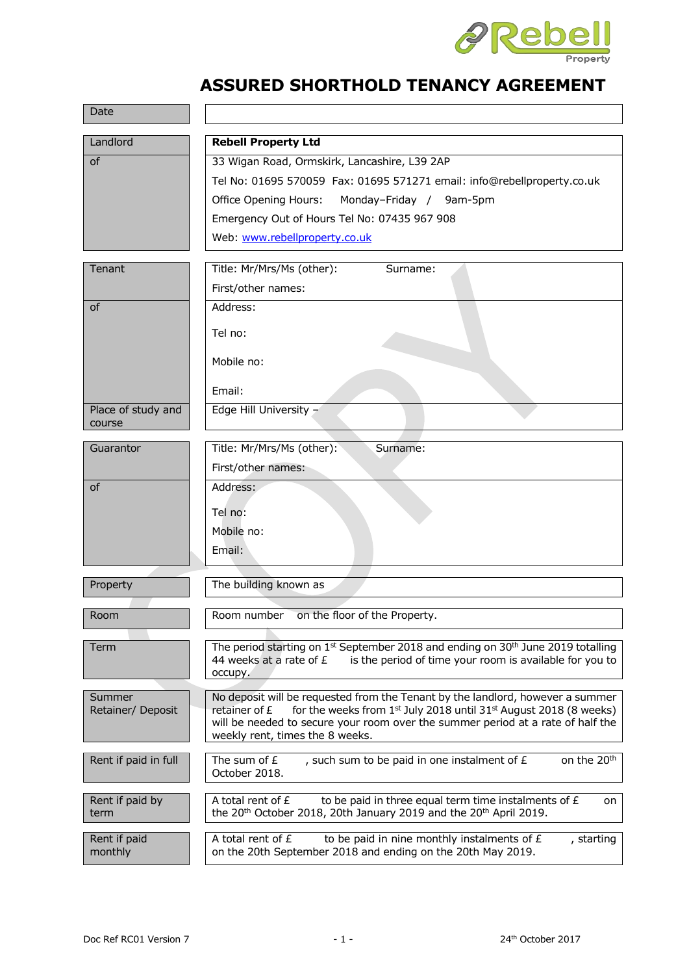

# **ASSURED SHORTHOLD TENANCY AGREEMENT**

| Date                        |                                                                                                                                                                              |  |  |  |  |  |
|-----------------------------|------------------------------------------------------------------------------------------------------------------------------------------------------------------------------|--|--|--|--|--|
| Landlord                    | <b>Rebell Property Ltd</b>                                                                                                                                                   |  |  |  |  |  |
| of                          | 33 Wigan Road, Ormskirk, Lancashire, L39 2AP                                                                                                                                 |  |  |  |  |  |
|                             | Tel No: 01695 570059    Fax: 01695 571271    email: info@rebellproperty.co.uk                                                                                                |  |  |  |  |  |
|                             | Office Opening Hours:<br>Monday-Friday / 9am-5pm                                                                                                                             |  |  |  |  |  |
|                             | Emergency Out of Hours Tel No: 07435 967 908                                                                                                                                 |  |  |  |  |  |
|                             | Web: www.rebellproperty.co.uk                                                                                                                                                |  |  |  |  |  |
| Tenant                      | Title: Mr/Mrs/Ms (other):<br>Surname:                                                                                                                                        |  |  |  |  |  |
|                             | First/other names:                                                                                                                                                           |  |  |  |  |  |
| of                          | Address:                                                                                                                                                                     |  |  |  |  |  |
|                             |                                                                                                                                                                              |  |  |  |  |  |
|                             | Tel no:                                                                                                                                                                      |  |  |  |  |  |
|                             | Mobile no:                                                                                                                                                                   |  |  |  |  |  |
|                             | Email:                                                                                                                                                                       |  |  |  |  |  |
| Place of study and          | Edge Hill University -                                                                                                                                                       |  |  |  |  |  |
| course                      |                                                                                                                                                                              |  |  |  |  |  |
| Guarantor                   | Title: Mr/Mrs/Ms (other):<br>Surname:                                                                                                                                        |  |  |  |  |  |
|                             | First/other names:                                                                                                                                                           |  |  |  |  |  |
| <b>of</b>                   | Address:                                                                                                                                                                     |  |  |  |  |  |
|                             | Tel no:                                                                                                                                                                      |  |  |  |  |  |
|                             | Mobile no:                                                                                                                                                                   |  |  |  |  |  |
|                             | Email:                                                                                                                                                                       |  |  |  |  |  |
|                             |                                                                                                                                                                              |  |  |  |  |  |
| Property                    | The building known as                                                                                                                                                        |  |  |  |  |  |
| Room                        | on the floor of the Property.<br>Room number                                                                                                                                 |  |  |  |  |  |
|                             |                                                                                                                                                                              |  |  |  |  |  |
| Term                        | The period starting on 1 <sup>st</sup> September 2018 and ending on 30 <sup>th</sup> June 2019 totalling                                                                     |  |  |  |  |  |
|                             | 44 weeks at a rate of £<br>is the period of time your room is available for you to<br>occupy.                                                                                |  |  |  |  |  |
|                             |                                                                                                                                                                              |  |  |  |  |  |
| Summer<br>Retainer/ Deposit | No deposit will be requested from the Tenant by the landlord, however a summer<br>for the weeks from $1^{st}$ July 2018 until 31 $st$ August 2018 (8 weeks)<br>retainer of £ |  |  |  |  |  |
|                             | will be needed to secure your room over the summer period at a rate of half the                                                                                              |  |  |  |  |  |
|                             | weekly rent, times the 8 weeks.                                                                                                                                              |  |  |  |  |  |
| Rent if paid in full        | The sum of $E$<br>, such sum to be paid in one instalment of £<br>on the 20 <sup>th</sup>                                                                                    |  |  |  |  |  |
|                             | October 2018.                                                                                                                                                                |  |  |  |  |  |
| Rent if paid by             | A total rent of £<br>to be paid in three equal term time instalments of £<br>on                                                                                              |  |  |  |  |  |
| term                        | the 20 <sup>th</sup> October 2018, 20th January 2019 and the 20 <sup>th</sup> April 2019.                                                                                    |  |  |  |  |  |
| Rent if paid                | A total rent of £<br>to be paid in nine monthly instalments of £<br>, starting                                                                                               |  |  |  |  |  |
| monthly                     | on the 20th September 2018 and ending on the 20th May 2019.                                                                                                                  |  |  |  |  |  |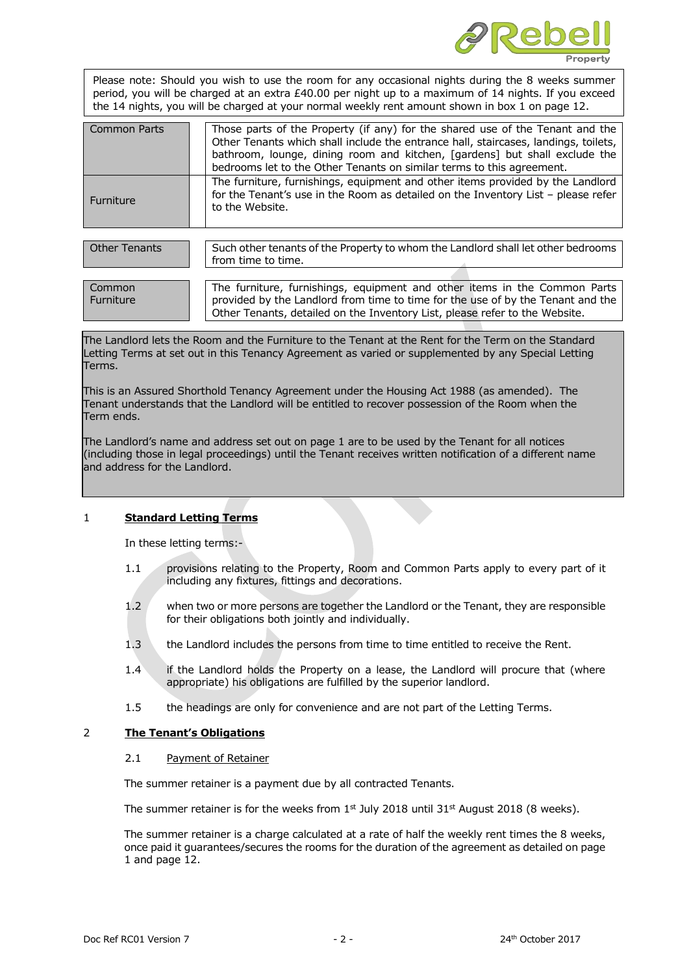

Please note: Should you wish to use the room for any occasional nights during the 8 weeks summer period, you will be charged at an extra £40.00 per night up to a maximum of 14 nights. If you exceed the 14 nights, you will be charged at your normal weekly rent amount shown in box 1 on page 12.

| <b>Common Parts</b> | Those parts of the Property (if any) for the shared use of the Tenant and the<br>Other Tenants which shall include the entrance hall, staircases, landings, toilets,<br>bathroom, lounge, dining room and kitchen, [gardens] but shall exclude the<br>bedrooms let to the Other Tenants on similar terms to this agreement. |
|---------------------|-----------------------------------------------------------------------------------------------------------------------------------------------------------------------------------------------------------------------------------------------------------------------------------------------------------------------------|
| Furniture           | The furniture, furnishings, equipment and other items provided by the Landlord<br>for the Tenant's use in the Room as detailed on the Inventory List - please refer<br>to the Website.                                                                                                                                      |

| Other Tenants | Such other tenants of the Property to whom the Landlord shall let other bedrooms<br>from time to time. |  |  |  |  |  |  |
|---------------|--------------------------------------------------------------------------------------------------------|--|--|--|--|--|--|
|               |                                                                                                        |  |  |  |  |  |  |
|               | $-1$                                                                                                   |  |  |  |  |  |  |

| Common    | The furniture, furnishings, equipment and other items in the Common Parts       |  |  |  |  |  |  |
|-----------|---------------------------------------------------------------------------------|--|--|--|--|--|--|
| Furniture | provided by the Landlord from time to time for the use of by the Tenant and the |  |  |  |  |  |  |
|           | Other Tenants, detailed on the Inventory List, please refer to the Website.     |  |  |  |  |  |  |

The Landlord lets the Room and the Furniture to the Tenant at the Rent for the Term on the Standard Letting Terms at set out in this Tenancy Agreement as varied or supplemented by any Special Letting Terms.

This is an Assured Shorthold Tenancy Agreement under the Housing Act 1988 (as amended). The Tenant understands that the Landlord will be entitled to recover possession of the Room when the Term ends.

The Landlord's name and address set out on page 1 are to be used by the Tenant for all notices (including those in legal proceedings) until the Tenant receives written notification of a different name and address for the Landlord.

# 1 **Standard Letting Terms**

In these letting terms:-

- 1.1 provisions relating to the Property, Room and Common Parts apply to every part of it including any fixtures, fittings and decorations.
- 1.2 when two or more persons are together the Landlord or the Tenant, they are responsible for their obligations both jointly and individually.
- 1.3 the Landlord includes the persons from time to time entitled to receive the Rent.
- 1.4 if the Landlord holds the Property on a lease, the Landlord will procure that (where appropriate) his obligations are fulfilled by the superior landlord.
- 1.5 the headings are only for convenience and are not part of the Letting Terms.

# 2 **The Tenant's Obligations**

# 2.1 Payment of Retainer

The summer retainer is a payment due by all contracted Tenants.

The summer retainer is for the weeks from  $1<sup>st</sup>$  July 2018 until 31<sup>st</sup> August 2018 (8 weeks).

The summer retainer is a charge calculated at a rate of half the weekly rent times the 8 weeks, once paid it guarantees/secures the rooms for the duration of the agreement as detailed on page 1 and page 12.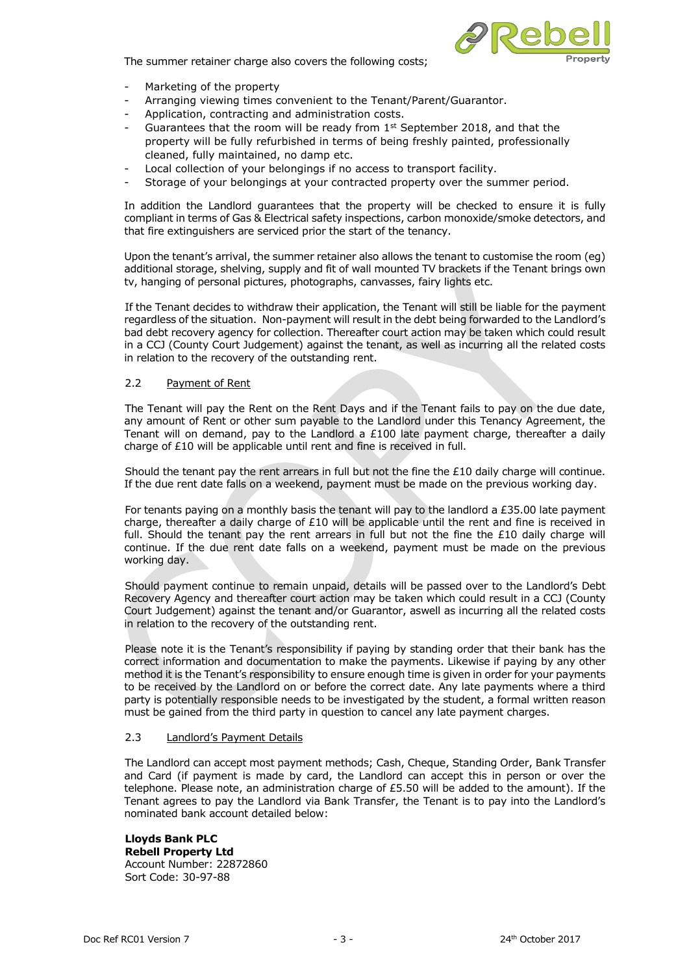



- Marketing of the property
- Arranging viewing times convenient to the Tenant/Parent/Guarantor.
- Application, contracting and administration costs.
- Guarantees that the room will be ready from 1st September 2018, and that the property will be fully refurbished in terms of being freshly painted, professionally cleaned, fully maintained, no damp etc.
- Local collection of your belongings if no access to transport facility.
- Storage of your belongings at your contracted property over the summer period.

In addition the Landlord guarantees that the property will be checked to ensure it is fully compliant in terms of Gas & Electrical safety inspections, carbon monoxide/smoke detectors, and that fire extinguishers are serviced prior the start of the tenancy.

Upon the tenant's arrival, the summer retainer also allows the tenant to customise the room (eg) additional storage, shelving, supply and fit of wall mounted TV brackets if the Tenant brings own tv, hanging of personal pictures, photographs, canvasses, fairy lights etc.

If the Tenant decides to withdraw their application, the Tenant will still be liable for the payment regardless of the situation. Non-payment will result in the debt being forwarded to the Landlord's bad debt recovery agency for collection. Thereafter court action may be taken which could result in a CCJ (County Court Judgement) against the tenant, as well as incurring all the related costs in relation to the recovery of the outstanding rent.

#### 2.2 Payment of Rent

The Tenant will pay the Rent on the Rent Days and if the Tenant fails to pay on the due date, any amount of Rent or other sum payable to the Landlord under this Tenancy Agreement, the Tenant will on demand, pay to the Landlord a  $£100$  late payment charge, thereafter a daily charge of £10 will be applicable until rent and fine is received in full.

Should the tenant pay the rent arrears in full but not the fine the £10 daily charge will continue. If the due rent date falls on a weekend, payment must be made on the previous working day.

For tenants paying on a monthly basis the tenant will pay to the landlord a  $£35.00$  late payment charge, thereafter a daily charge of £10 will be applicable until the rent and fine is received in full. Should the tenant pay the rent arrears in full but not the fine the  $£10$  daily charge will continue. If the due rent date falls on a weekend, payment must be made on the previous working day.

Should payment continue to remain unpaid, details will be passed over to the Landlord's Debt Recovery Agency and thereafter court action may be taken which could result in a CCJ (County Court Judgement) against the tenant and/or Guarantor, aswell as incurring all the related costs in relation to the recovery of the outstanding rent.

Please note it is the Tenant's responsibility if paying by standing order that their bank has the correct information and documentation to make the payments. Likewise if paying by any other method it is the Tenant's responsibility to ensure enough time is given in order for your payments to be received by the Landlord on or before the correct date. Any late payments where a third party is potentially responsible needs to be investigated by the student, a formal written reason must be gained from the third party in question to cancel any late payment charges.

#### 2.3 Landlord's Payment Details

The Landlord can accept most payment methods; Cash, Cheque, Standing Order, Bank Transfer and Card (if payment is made by card, the Landlord can accept this in person or over the telephone. Please note, an administration charge of £5.50 will be added to the amount). If the Tenant agrees to pay the Landlord via Bank Transfer, the Tenant is to pay into the Landlord's nominated bank account detailed below:

**Lloyds Bank PLC Rebell Property Ltd** Account Number: 22872860 Sort Code: 30-97-88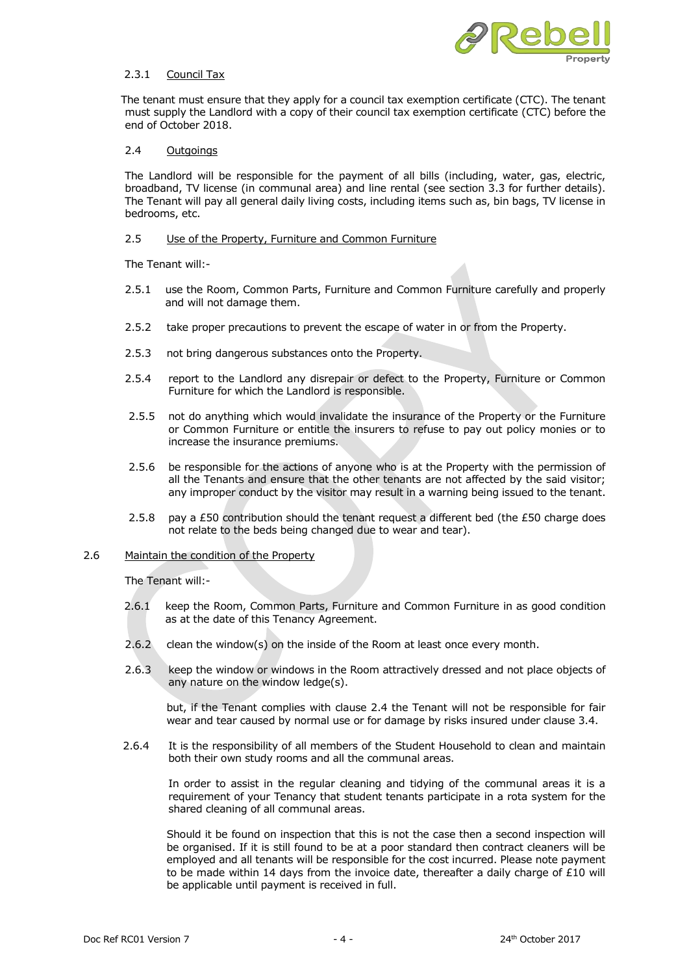

## 2.3.1 Council Tax

 The tenant must ensure that they apply for a council tax exemption certificate (CTC). The tenant must supply the Landlord with a copy of their council tax exemption certificate (CTC) before the end of October 2018.

# 2.4 Outgoings

The Landlord will be responsible for the payment of all bills (including, water, gas, electric, broadband, TV license (in communal area) and line rental (see section 3.3 for further details). The Tenant will pay all general daily living costs, including items such as, bin bags, TV license in bedrooms, etc.

#### 2.5 Use of the Property, Furniture and Common Furniture

The Tenant will:-

- 2.5.1 use the Room, Common Parts, Furniture and Common Furniture carefully and properly and will not damage them.
- 2.5.2 take proper precautions to prevent the escape of water in or from the Property.
- 2.5.3 not bring dangerous substances onto the Property.
- 2.5.4 report to the Landlord any disrepair or defect to the Property, Furniture or Common Furniture for which the Landlord is responsible.
- 2.5.5 not do anything which would invalidate the insurance of the Property or the Furniture or Common Furniture or entitle the insurers to refuse to pay out policy monies or to increase the insurance premiums.
- 2.5.6 be responsible for the actions of anyone who is at the Property with the permission of all the Tenants and ensure that the other tenants are not affected by the said visitor; any improper conduct by the visitor may result in a warning being issued to the tenant.
- 2.5.8 pay a £50 contribution should the tenant request a different bed (the £50 charge does not relate to the beds being changed due to wear and tear).

#### 2.6 Maintain the condition of the Property

The Tenant will:-

- 2.6.1 keep the Room, Common Parts, Furniture and Common Furniture in as good condition as at the date of this Tenancy Agreement.
- 2.6.2 clean the window(s) on the inside of the Room at least once every month.
- 2.6.3 keep the window or windows in the Room attractively dressed and not place objects of any nature on the window ledge(s).

but, if the Tenant complies with clause 2.4 the Tenant will not be responsible for fair wear and tear caused by normal use or for damage by risks insured under clause 3.4.

2.6.4 It is the responsibility of all members of the Student Household to clean and maintain both their own study rooms and all the communal areas.

In order to assist in the regular cleaning and tidying of the communal areas it is a requirement of your Tenancy that student tenants participate in a rota system for the shared cleaning of all communal areas.

Should it be found on inspection that this is not the case then a second inspection will be organised. If it is still found to be at a poor standard then contract cleaners will be employed and all tenants will be responsible for the cost incurred. Please note payment to be made within 14 days from the invoice date, thereafter a daily charge of  $£10$  will be applicable until payment is received in full.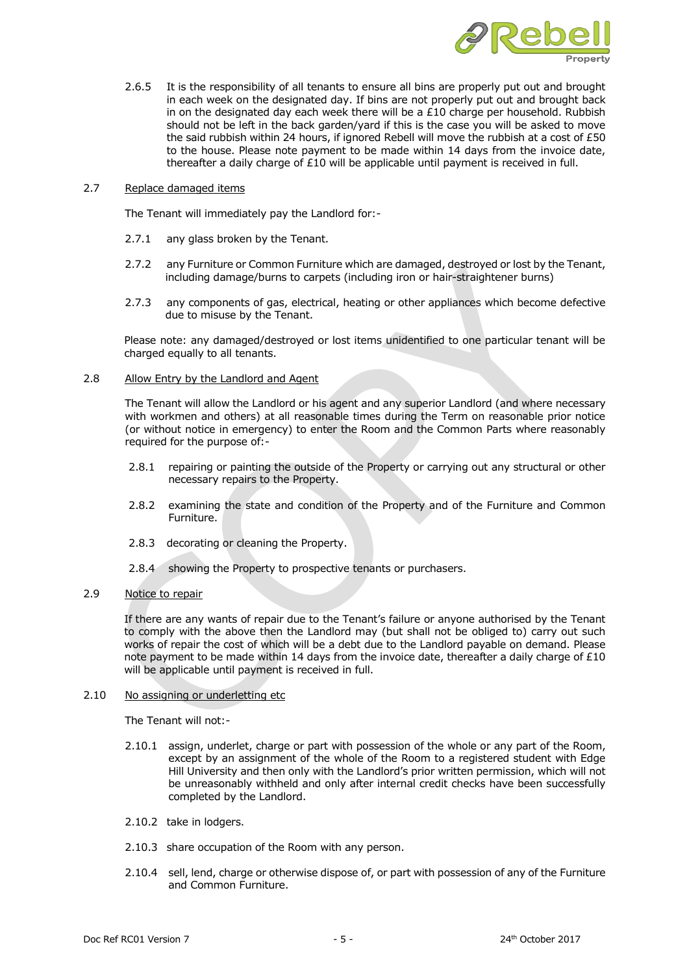

2.6.5 It is the responsibility of all tenants to ensure all bins are properly put out and brought in each week on the designated day. If bins are not properly put out and brought back in on the designated day each week there will be a  $£10$  charge per household. Rubbish should not be left in the back garden/yard if this is the case you will be asked to move the said rubbish within 24 hours, if ignored Rebell will move the rubbish at a cost of £50 to the house. Please note payment to be made within 14 days from the invoice date, thereafter a daily charge of £10 will be applicable until payment is received in full.

#### 2.7 Replace damaged items

The Tenant will immediately pay the Landlord for:-

- 2.7.1 any glass broken by the Tenant.
- 2.7.2 any Furniture or Common Furniture which are damaged, destroyed or lost by the Tenant, including damage/burns to carpets (including iron or hair-straightener burns)
- 2.7.3 any components of gas, electrical, heating or other appliances which become defective due to misuse by the Tenant.

Please note: any damaged/destroyed or lost items unidentified to one particular tenant will be charged equally to all tenants.

#### 2.8 Allow Entry by the Landlord and Agent

The Tenant will allow the Landlord or his agent and any superior Landlord (and where necessary with workmen and others) at all reasonable times during the Term on reasonable prior notice (or without notice in emergency) to enter the Room and the Common Parts where reasonably required for the purpose of:-

- 2.8.1 repairing or painting the outside of the Property or carrying out any structural or other necessary repairs to the Property.
- 2.8.2 examining the state and condition of the Property and of the Furniture and Common Furniture.
- 2.8.3 decorating or cleaning the Property.
- 2.8.4 showing the Property to prospective tenants or purchasers.

# 2.9 Notice to repair

If there are any wants of repair due to the Tenant's failure or anyone authorised by the Tenant to comply with the above then the Landlord may (but shall not be obliged to) carry out such works of repair the cost of which will be a debt due to the Landlord payable on demand. Please note payment to be made within 14 days from the invoice date, thereafter a daily charge of  $£10$ will be applicable until payment is received in full.

## 2.10 No assigning or underletting etc

The Tenant will not:-

- 2.10.1 assign, underlet, charge or part with possession of the whole or any part of the Room, except by an assignment of the whole of the Room to a registered student with Edge Hill University and then only with the Landlord's prior written permission, which will not be unreasonably withheld and only after internal credit checks have been successfully completed by the Landlord.
- 2.10.2 take in lodgers.
- 2.10.3 share occupation of the Room with any person.
- 2.10.4 sell, lend, charge or otherwise dispose of, or part with possession of any of the Furniture and Common Furniture.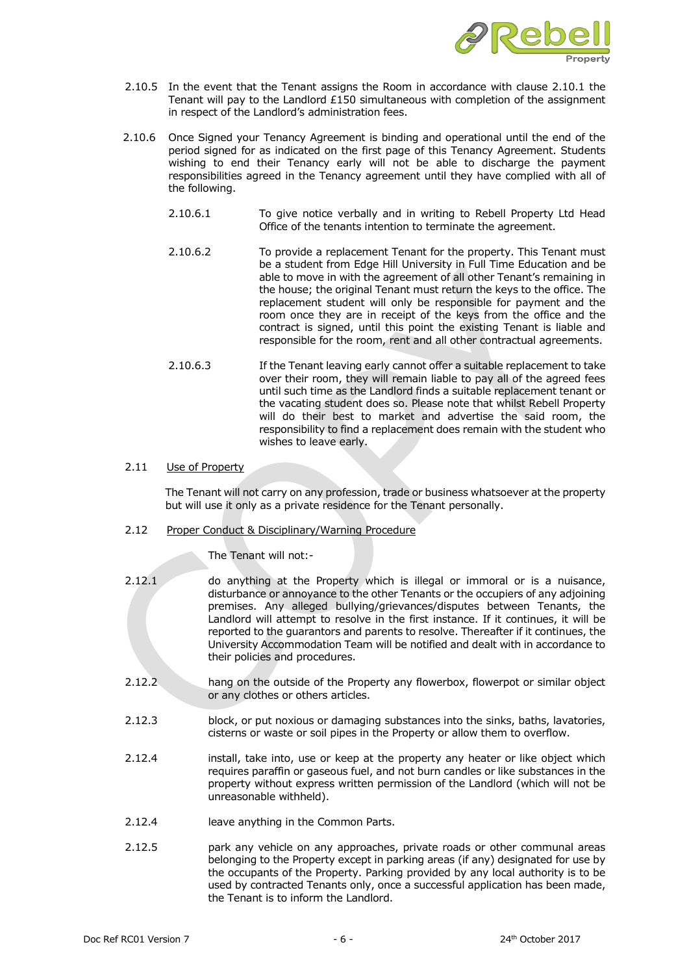

- 2.10.5 In the event that the Tenant assigns the Room in accordance with clause 2.10.1 the Tenant will pay to the Landlord  $£150$  simultaneous with completion of the assignment in respect of the Landlord's administration fees.
- 2.10.6 Once Signed your Tenancy Agreement is binding and operational until the end of the period signed for as indicated on the first page of this Tenancy Agreement. Students wishing to end their Tenancy early will not be able to discharge the payment responsibilities agreed in the Tenancy agreement until they have complied with all of the following.
	- 2.10.6.1 To give notice verbally and in writing to Rebell Property Ltd Head Office of the tenants intention to terminate the agreement.
	- 2.10.6.2 To provide a replacement Tenant for the property. This Tenant must be a student from Edge Hill University in Full Time Education and be able to move in with the agreement of all other Tenant's remaining in the house; the original Tenant must return the keys to the office. The replacement student will only be responsible for payment and the room once they are in receipt of the keys from the office and the contract is signed, until this point the existing Tenant is liable and responsible for the room, rent and all other contractual agreements.
	- 2.10.6.3 If the Tenant leaving early cannot offer a suitable replacement to take over their room, they will remain liable to pay all of the agreed fees until such time as the Landlord finds a suitable replacement tenant or the vacating student does so. Please note that whilst Rebell Property will do their best to market and advertise the said room, the responsibility to find a replacement does remain with the student who wishes to leave early.

# 2.11 Use of Property

The Tenant will not carry on any profession, trade or business whatsoever at the property but will use it only as a private residence for the Tenant personally.

### 2.12 Proper Conduct & Disciplinary/Warning Procedure

The Tenant will not:-

| 2.12.1 | do anything at the Property which is illegal or immoral or is a nuisance,<br>disturbance or annoyance to the other Tenants or the occupiers of any adjoining<br>premises. Any alleged bullying/grievances/disputes between Tenants, the<br>Landlord will attempt to resolve in the first instance. If it continues, it will be<br>reported to the quarantors and parents to resolve. Thereafter if it continues, the<br>University Accommodation Team will be notified and dealt with in accordance to |
|--------|--------------------------------------------------------------------------------------------------------------------------------------------------------------------------------------------------------------------------------------------------------------------------------------------------------------------------------------------------------------------------------------------------------------------------------------------------------------------------------------------------------|
|        | their policies and procedures.                                                                                                                                                                                                                                                                                                                                                                                                                                                                         |

- 2.12.2 hang on the outside of the Property any flowerbox, flowerpot or similar object or any clothes or others articles.
- 2.12.3 block, or put noxious or damaging substances into the sinks, baths, lavatories, cisterns or waste or soil pipes in the Property or allow them to overflow.
- 2.12.4 install, take into, use or keep at the property any heater or like object which requires paraffin or gaseous fuel, and not burn candles or like substances in the property without express written permission of the Landlord (which will not be unreasonable withheld).
- 2.12.4 leave anything in the Common Parts.
- 2.12.5 park any vehicle on any approaches, private roads or other communal areas belonging to the Property except in parking areas (if any) designated for use by the occupants of the Property. Parking provided by any local authority is to be used by contracted Tenants only, once a successful application has been made, the Tenant is to inform the Landlord.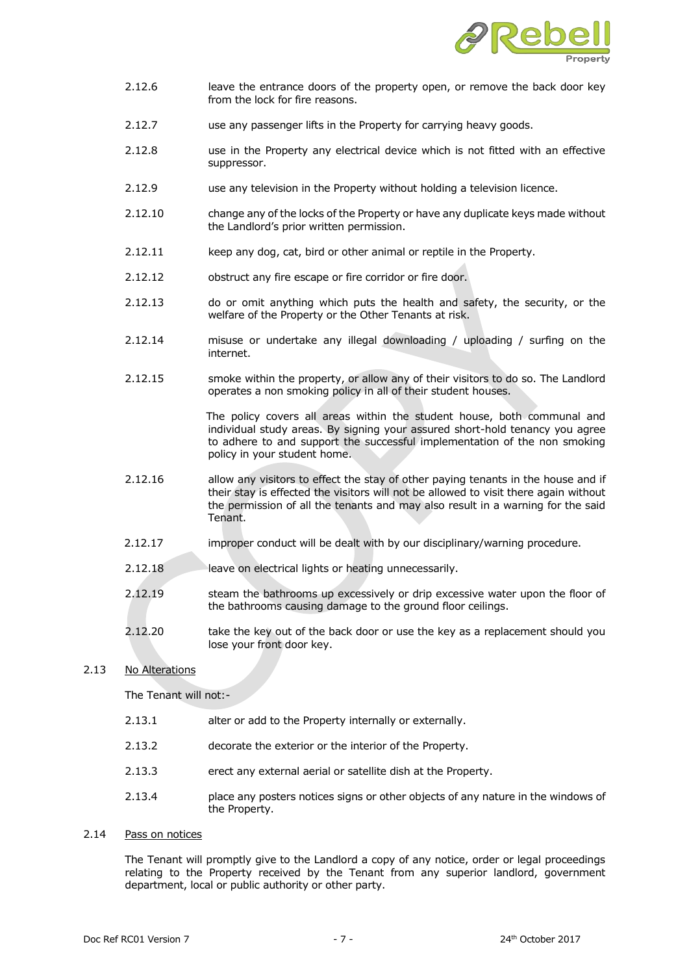

- 2.12.6 leave the entrance doors of the property open, or remove the back door key from the lock for fire reasons.
- 2.12.7 use any passenger lifts in the Property for carrying heavy goods.
- 2.12.8 use in the Property any electrical device which is not fitted with an effective suppressor.
- 2.12.9 use any television in the Property without holding a television licence.
- 2.12.10 change any of the locks of the Property or have any duplicate keys made without the Landlord's prior written permission.
- 2.12.11 keep any dog, cat, bird or other animal or reptile in the Property.
- 2.12.12 obstruct any fire escape or fire corridor or fire door.
- 2.12.13 do or omit anything which puts the health and safety, the security, or the welfare of the Property or the Other Tenants at risk.
- 2.12.14 misuse or undertake any illegal downloading / uploading / surfing on the internet.
- 2.12.15 smoke within the property, or allow any of their visitors to do so. The Landlord operates a non smoking policy in all of their student houses.

The policy covers all areas within the student house, both communal and individual study areas. By signing your assured short-hold tenancy you agree to adhere to and support the successful implementation of the non smoking policy in your student home.

- 2.12.16 allow any visitors to effect the stay of other paying tenants in the house and if their stay is effected the visitors will not be allowed to visit there again without the permission of all the tenants and may also result in a warning for the said Tenant.
- 2.12.17 improper conduct will be dealt with by our disciplinary/warning procedure.
- 2.12.18 leave on electrical lights or heating unnecessarily.
- 2.12.19 steam the bathrooms up excessively or drip excessive water upon the floor of the bathrooms causing damage to the ground floor ceilings.
- 2.12.20 take the key out of the back door or use the key as a replacement should you lose your front door key.

## 2.13 No Alterations

The Tenant will not:-

- 2.13.1 alter or add to the Property internally or externally.
- 2.13.2 decorate the exterior or the interior of the Property.
- 2.13.3 erect any external aerial or satellite dish at the Property.
- 2.13.4 place any posters notices signs or other objects of any nature in the windows of the Property.
- 2.14 Pass on notices

The Tenant will promptly give to the Landlord a copy of any notice, order or legal proceedings relating to the Property received by the Tenant from any superior landlord, government department, local or public authority or other party.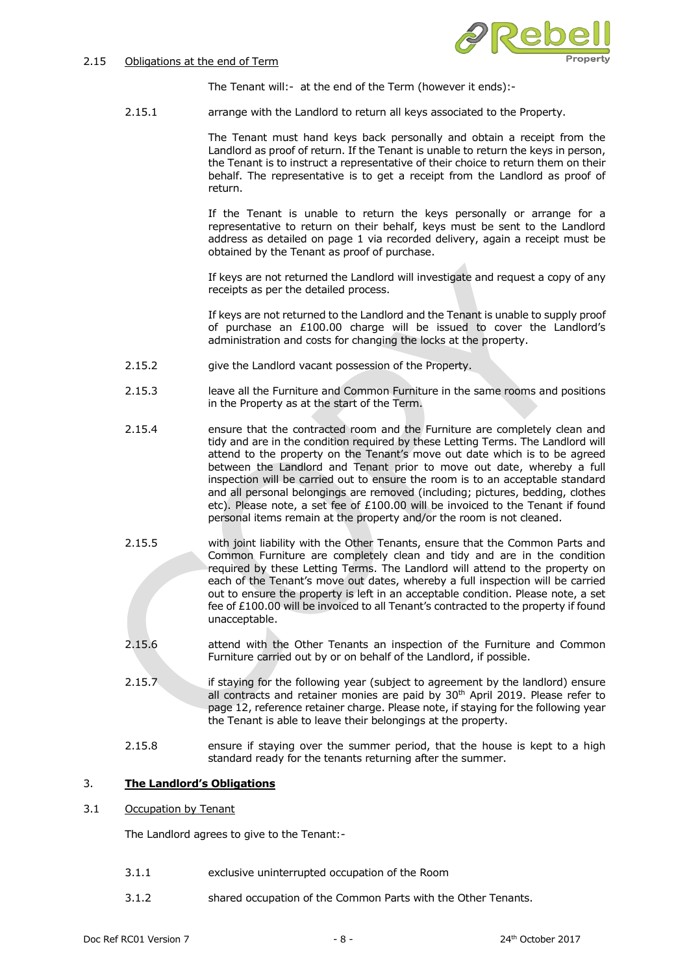## 2.15 Obligations at the end of Term



The Tenant will:- at the end of the Term (however it ends):-

2.15.1 arrange with the Landlord to return all keys associated to the Property.

The Tenant must hand keys back personally and obtain a receipt from the Landlord as proof of return. If the Tenant is unable to return the keys in person, the Tenant is to instruct a representative of their choice to return them on their behalf. The representative is to get a receipt from the Landlord as proof of return.

If the Tenant is unable to return the keys personally or arrange for a representative to return on their behalf, keys must be sent to the Landlord address as detailed on page 1 via recorded delivery, again a receipt must be obtained by the Tenant as proof of purchase.

If keys are not returned the Landlord will investigate and request a copy of any receipts as per the detailed process.

If keys are not returned to the Landlord and the Tenant is unable to supply proof of purchase an £100.00 charge will be issued to cover the Landlord's administration and costs for changing the locks at the property.

- 2.15.2 give the Landlord vacant possession of the Property.
- 2.15.3 leave all the Furniture and Common Furniture in the same rooms and positions in the Property as at the start of the Term.
- 2.15.4 ensure that the contracted room and the Furniture are completely clean and tidy and are in the condition required by these Letting Terms. The Landlord will attend to the property on the Tenant's move out date which is to be agreed between the Landlord and Tenant prior to move out date, whereby a full inspection will be carried out to ensure the room is to an acceptable standard and all personal belongings are removed (including; pictures, bedding, clothes etc). Please note, a set fee of £100.00 will be invoiced to the Tenant if found personal items remain at the property and/or the room is not cleaned.
- 2.15.5 with joint liability with the Other Tenants, ensure that the Common Parts and Common Furniture are completely clean and tidy and are in the condition required by these Letting Terms. The Landlord will attend to the property on each of the Tenant's move out dates, whereby a full inspection will be carried out to ensure the property is left in an acceptable condition. Please note, a set fee of £100.00 will be invoiced to all Tenant's contracted to the property if found unacceptable.
- 2.15.6 attend with the Other Tenants an inspection of the Furniture and Common Furniture carried out by or on behalf of the Landlord, if possible.
- 2.15.7 if staying for the following year (subject to agreement by the landlord) ensure all contracts and retainer monies are paid by 30<sup>th</sup> April 2019. Please refer to page 12, reference retainer charge. Please note, if staying for the following year the Tenant is able to leave their belongings at the property.
- 2.15.8 ensure if staying over the summer period, that the house is kept to a high standard ready for the tenants returning after the summer.

# 3. **The Landlord's Obligations**

3.1 Occupation by Tenant

The Landlord agrees to give to the Tenant:-

- 3.1.1 exclusive uninterrupted occupation of the Room
- 3.1.2 shared occupation of the Common Parts with the Other Tenants.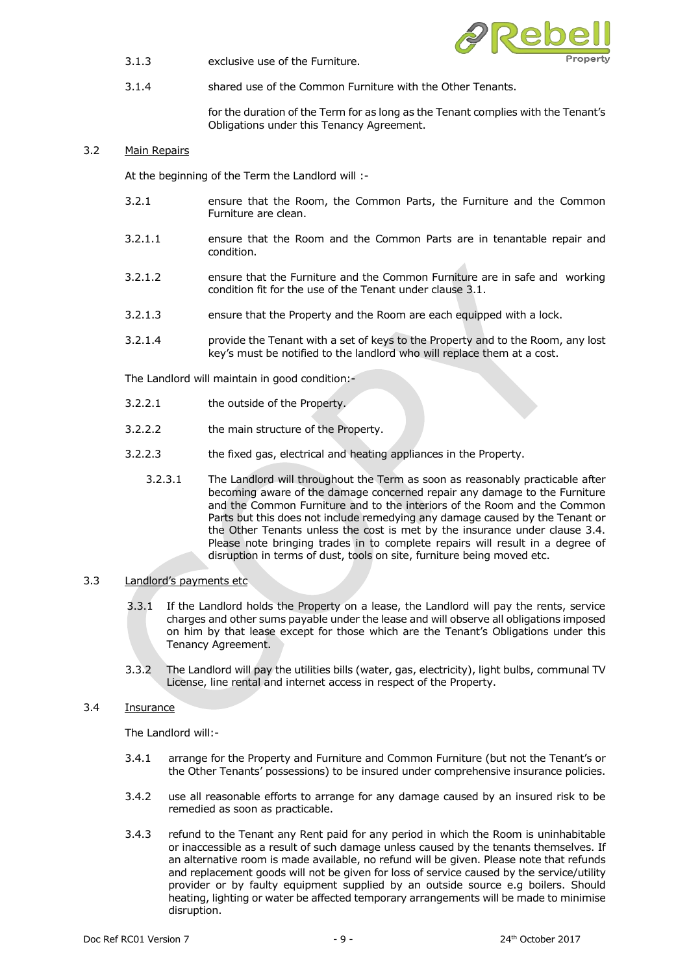3.1.3 exclusive use of the Furniture.



3.1.4 shared use of the Common Furniture with the Other Tenants.

for the duration of the Term for as long as the Tenant complies with the Tenant's Obligations under this Tenancy Agreement.

# 3.2 Main Repairs

At the beginning of the Term the Landlord will :-

- 3.2.1 ensure that the Room, the Common Parts, the Furniture and the Common Furniture are clean.
- 3.2.1.1 ensure that the Room and the Common Parts are in tenantable repair and condition.
- 3.2.1.2 ensure that the Furniture and the Common Furniture are in safe and working condition fit for the use of the Tenant under clause 3.1.
- 3.2.1.3 ensure that the Property and the Room are each equipped with a lock.
- 3.2.1.4 provide the Tenant with a set of keys to the Property and to the Room, any lost key's must be notified to the landlord who will replace them at a cost.

The Landlord will maintain in good condition:-

- 3.2.2.1 the outside of the Property.
- 3.2.2.2 the main structure of the Property.
- 3.2.2.3 the fixed gas, electrical and heating appliances in the Property.
	- 3.2.3.1 The Landlord will throughout the Term as soon as reasonably practicable after becoming aware of the damage concerned repair any damage to the Furniture and the Common Furniture and to the interiors of the Room and the Common Parts but this does not include remedying any damage caused by the Tenant or the Other Tenants unless the cost is met by the insurance under clause 3.4. Please note bringing trades in to complete repairs will result in a degree of disruption in terms of dust, tools on site, furniture being moved etc.

## 3.3 Landlord's payments etc

- 3.3.1 If the Landlord holds the Property on a lease, the Landlord will pay the rents, service charges and other sums payable under the lease and will observe all obligations imposed on him by that lease except for those which are the Tenant's Obligations under this Tenancy Agreement.
- 3.3.2 The Landlord will pay the utilities bills (water, gas, electricity), light bulbs, communal TV License, line rental and internet access in respect of the Property.

## 3.4 Insurance

The Landlord will:-

- 3.4.1 arrange for the Property and Furniture and Common Furniture (but not the Tenant's or the Other Tenants' possessions) to be insured under comprehensive insurance policies.
- 3.4.2 use all reasonable efforts to arrange for any damage caused by an insured risk to be remedied as soon as practicable.
- 3.4.3 refund to the Tenant any Rent paid for any period in which the Room is uninhabitable or inaccessible as a result of such damage unless caused by the tenants themselves. If an alternative room is made available, no refund will be given. Please note that refunds and replacement goods will not be given for loss of service caused by the service/utility provider or by faulty equipment supplied by an outside source e.g boilers. Should heating, lighting or water be affected temporary arrangements will be made to minimise disruption.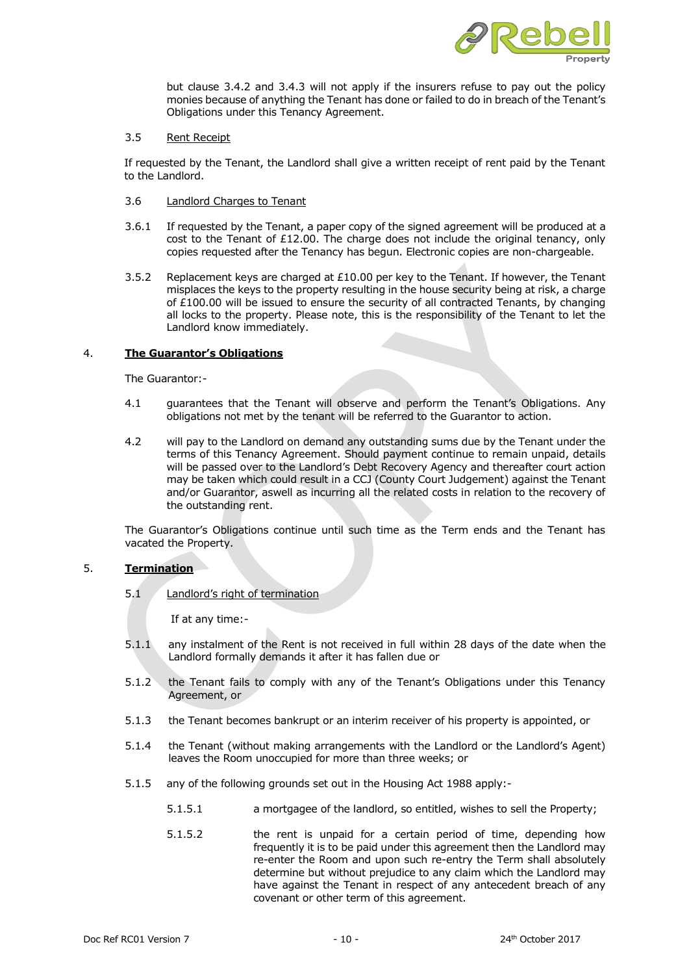

but clause 3.4.2 and 3.4.3 will not apply if the insurers refuse to pay out the policy monies because of anything the Tenant has done or failed to do in breach of the Tenant's Obligations under this Tenancy Agreement.

#### 3.5 Rent Receipt

If requested by the Tenant, the Landlord shall give a written receipt of rent paid by the Tenant to the Landlord.

- 3.6 Landlord Charges to Tenant
- 3.6.1 If requested by the Tenant, a paper copy of the signed agreement will be produced at a cost to the Tenant of £12.00. The charge does not include the original tenancy, only copies requested after the Tenancy has begun. Electronic copies are non-chargeable.
- 3.5.2 Replacement keys are charged at  $£10.00$  per key to the Tenant. If however, the Tenant misplaces the keys to the property resulting in the house security being at risk, a charge of £100.00 will be issued to ensure the security of all contracted Tenants, by changing all locks to the property. Please note, this is the responsibility of the Tenant to let the Landlord know immediately.

# 4. **The Guarantor's Obligations**

The Guarantor:-

- 4.1 guarantees that the Tenant will observe and perform the Tenant's Obligations. Any obligations not met by the tenant will be referred to the Guarantor to action.
- 4.2 will pay to the Landlord on demand any outstanding sums due by the Tenant under the terms of this Tenancy Agreement. Should payment continue to remain unpaid, details will be passed over to the Landlord's Debt Recovery Agency and thereafter court action may be taken which could result in a CCJ (County Court Judgement) against the Tenant and/or Guarantor, aswell as incurring all the related costs in relation to the recovery of the outstanding rent.

The Guarantor's Obligations continue until such time as the Term ends and the Tenant has vacated the Property.

## 5. **Termination**

5.1 Landlord's right of termination

If at any time:-

- 5.1.1 any instalment of the Rent is not received in full within 28 days of the date when the Landlord formally demands it after it has fallen due or
- 5.1.2 the Tenant fails to comply with any of the Tenant's Obligations under this Tenancy Agreement, or
- 5.1.3 the Tenant becomes bankrupt or an interim receiver of his property is appointed, or
- 5.1.4 the Tenant (without making arrangements with the Landlord or the Landlord's Agent) leaves the Room unoccupied for more than three weeks; or
- 5.1.5 any of the following grounds set out in the Housing Act 1988 apply:-
	- 5.1.5.1 a mortgagee of the landlord, so entitled, wishes to sell the Property;
	- 5.1.5.2 the rent is unpaid for a certain period of time, depending how frequently it is to be paid under this agreement then the Landlord may re-enter the Room and upon such re-entry the Term shall absolutely determine but without prejudice to any claim which the Landlord may have against the Tenant in respect of any antecedent breach of any covenant or other term of this agreement.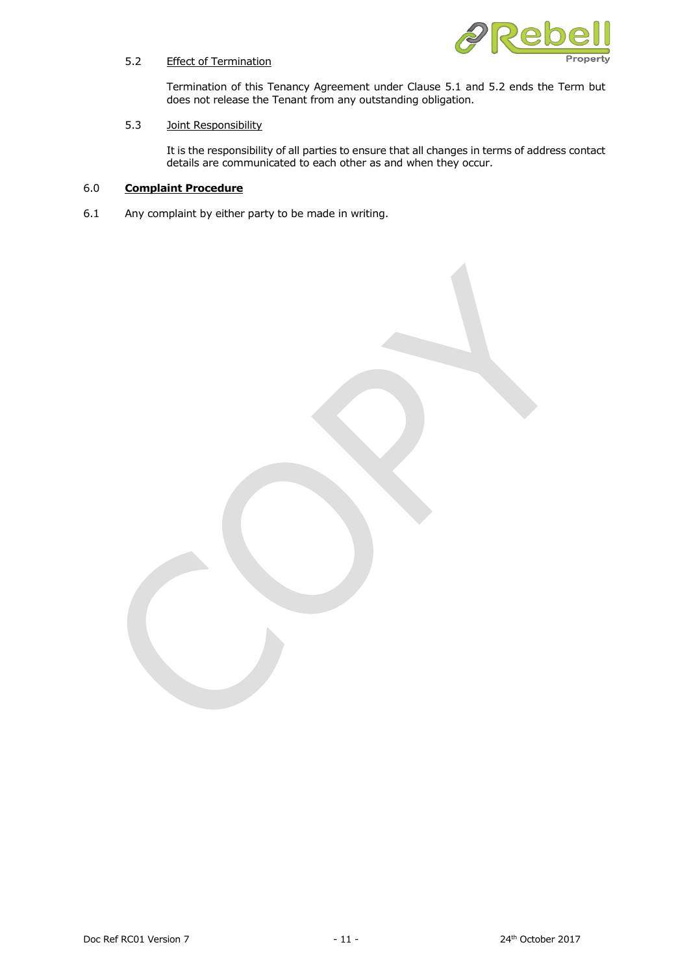

# 5.2 Effect of Termination

Termination of this Tenancy Agreement under Clause 5.1 and 5.2 ends the Term but does not release the Tenant from any outstanding obligation.

# 5.3 Joint Responsibility

It is the responsibility of all parties to ensure that all changes in terms of address contact details are communicated to each other as and when they occur.

# 6.0 **Complaint Procedure**

6.1 Any complaint by either party to be made in writing.